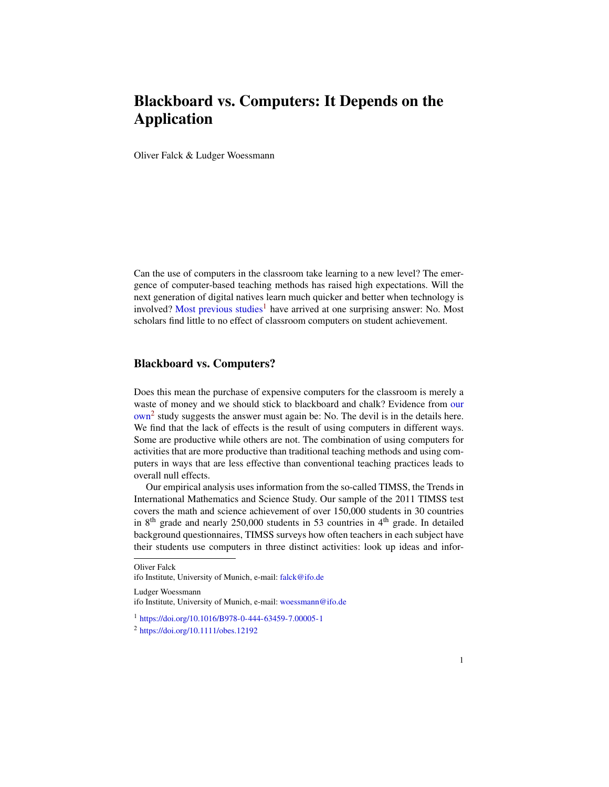## Blackboard vs. Computers: It Depends on the Application

Oliver Falck & Ludger Woessmann

Can the use of computers in the classroom take learning to a new level? The emergence of computer-based teaching methods has raised high expectations. Will the next generation of digital natives learn much quicker and better when technology is involved? [Most previous studies](https://doi.org/10.1016/B978-0-444-63459-7.00005-1)<sup>[1](#page-0-0)</sup> have arrived at one surprising answer: No. Most scholars find little to no effect of classroom computers on student achievement.

## Blackboard vs. Computers?

Does this mean the purchase of expensive computers for the classroom is merely a waste of money and we should stick to blackboard and chalk? Evidence from [our](https://doi.org/10.1111/obes.12192) [own](https://doi.org/10.1111/obes.12192)<sup>[2](#page-0-1)</sup> study suggests the answer must again be: No. The devil is in the details here. We find that the lack of effects is the result of using computers in different ways. Some are productive while others are not. The combination of using computers for activities that are more productive than traditional teaching methods and using computers in ways that are less effective than conventional teaching practices leads to overall null effects.

Our empirical analysis uses information from the so-called TIMSS, the Trends in International Mathematics and Science Study. Our sample of the 2011 TIMSS test covers the math and science achievement of over 150,000 students in 30 countries in 8<sup>th</sup> grade and nearly 250,000 students in 53 countries in  $4<sup>th</sup>$  grade. In detailed background questionnaires, TIMSS surveys how often teachers in each subject have their students use computers in three distinct activities: look up ideas and infor-

Oliver Falck

Ludger Woessmann

ifo Institute, University of Munich, e-mail: [falck@ifo.de](mailto:falck@ifo.de)

ifo Institute, University of Munich, e-mail: [woessmann@ifo.de](mailto:woessmann@ifo.de)

<span id="page-0-0"></span><sup>1</sup> <https://doi.org/10.1016/B978-0-444-63459-7.00005-1>

<span id="page-0-1"></span><sup>2</sup> <https://doi.org/10.1111/obes.12192>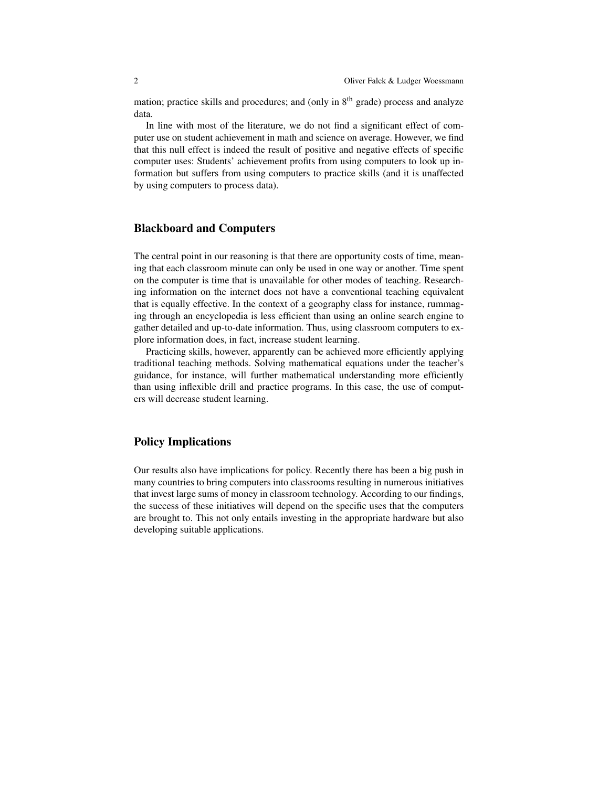mation; practice skills and procedures; and (only in  $8<sup>th</sup>$  grade) process and analyze data.

In line with most of the literature, we do not find a significant effect of computer use on student achievement in math and science on average. However, we find that this null effect is indeed the result of positive and negative effects of specific computer uses: Students' achievement profits from using computers to look up information but suffers from using computers to practice skills (and it is unaffected by using computers to process data).

## Blackboard and Computers

The central point in our reasoning is that there are opportunity costs of time, meaning that each classroom minute can only be used in one way or another. Time spent on the computer is time that is unavailable for other modes of teaching. Researching information on the internet does not have a conventional teaching equivalent that is equally effective. In the context of a geography class for instance, rummaging through an encyclopedia is less efficient than using an online search engine to gather detailed and up-to-date information. Thus, using classroom computers to explore information does, in fact, increase student learning.

Practicing skills, however, apparently can be achieved more efficiently applying traditional teaching methods. Solving mathematical equations under the teacher's guidance, for instance, will further mathematical understanding more efficiently than using inflexible drill and practice programs. In this case, the use of computers will decrease student learning.

## Policy Implications

Our results also have implications for policy. Recently there has been a big push in many countries to bring computers into classrooms resulting in numerous initiatives that invest large sums of money in classroom technology. According to our findings, the success of these initiatives will depend on the specific uses that the computers are brought to. This not only entails investing in the appropriate hardware but also developing suitable applications.